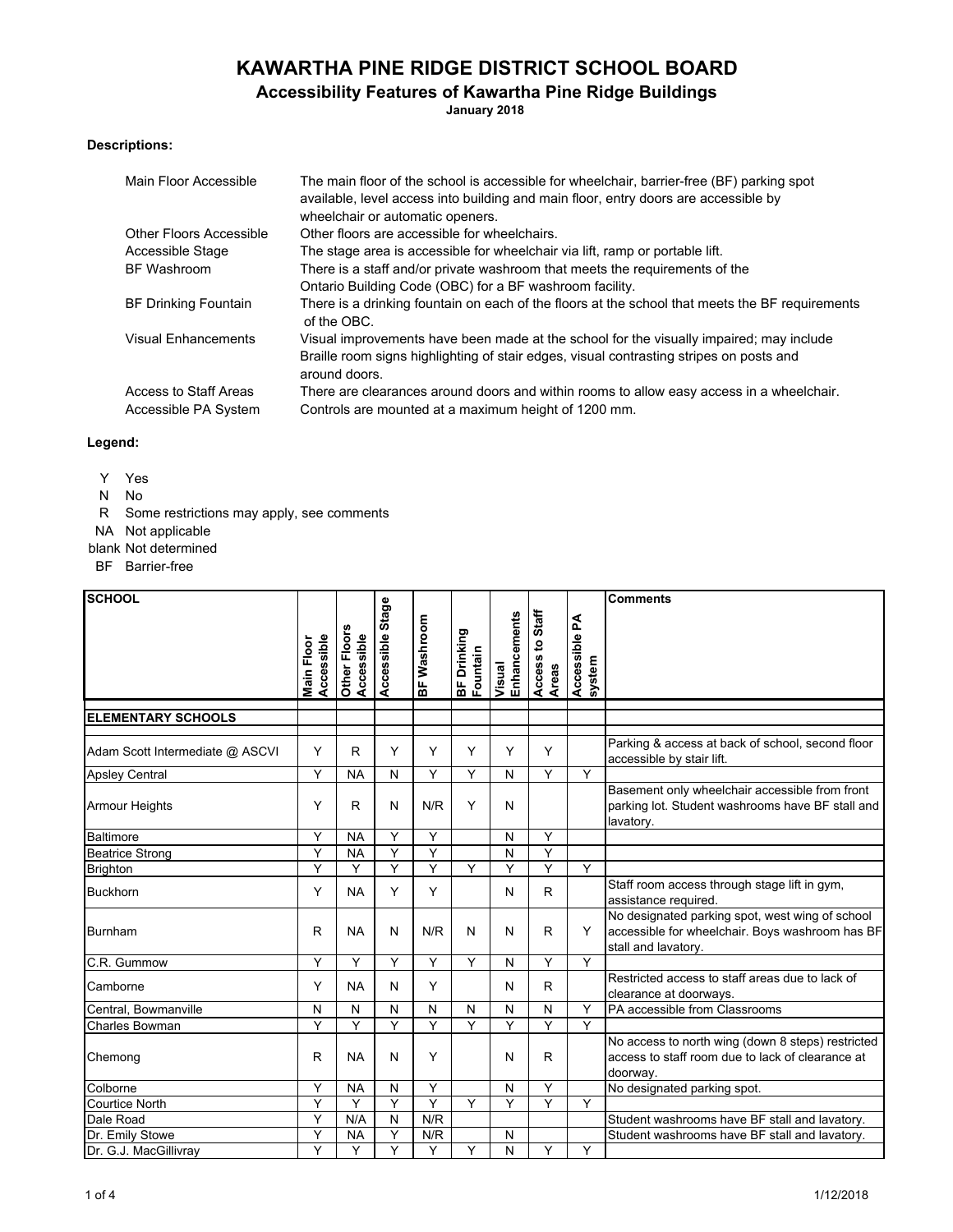# **KAWARTHA PINE RIDGE DISTRICT SCHOOL BOARD**

## **Accessibility Features of Kawartha Pine Ridge Buildings**

**January 2018**

### **Descriptions:**

| Main Floor Accessible          | The main floor of the school is accessible for wheelchair, barrier-free (BF) parking spot<br>available, level access into building and main floor, entry doors are accessible by<br>wheelchair or automatic openers. |
|--------------------------------|----------------------------------------------------------------------------------------------------------------------------------------------------------------------------------------------------------------------|
| <b>Other Floors Accessible</b> | Other floors are accessible for wheelchairs.                                                                                                                                                                         |
| Accessible Stage               | The stage area is accessible for wheelchair via lift, ramp or portable lift.                                                                                                                                         |
| BF Washroom                    | There is a staff and/or private washroom that meets the requirements of the                                                                                                                                          |
|                                | Ontario Building Code (OBC) for a BF washroom facility.                                                                                                                                                              |
| <b>BF Drinking Fountain</b>    | There is a drinking fountain on each of the floors at the school that meets the BF requirements<br>of the OBC.                                                                                                       |
| <b>Visual Enhancements</b>     | Visual improvements have been made at the school for the visually impaired; may include                                                                                                                              |
|                                | Braille room signs highlighting of stair edges, visual contrasting stripes on posts and<br>around doors.                                                                                                             |
| Access to Staff Areas          | There are clearances around doors and within rooms to allow easy access in a wheelchair.                                                                                                                             |
| Accessible PA System           | Controls are mounted at a maximum height of 1200 mm.                                                                                                                                                                 |

#### **Legend:**

- Y Yes
- N No
- R Some restrictions may apply, see comments
- NA Not applicable
- blank Not determined
- BF Barrier-free

| <b>SCHOOL</b>                   |                          |                            |                  |             |                         |                        |                                          |                         | <b>Comments</b>                                                                                                           |
|---------------------------------|--------------------------|----------------------------|------------------|-------------|-------------------------|------------------------|------------------------------------------|-------------------------|---------------------------------------------------------------------------------------------------------------------------|
|                                 | Accessible<br>Main Floor | Other Floors<br>Accessible | Accessible Stage | BF Washroom | BF Drinking<br>Fountain | Enhancements<br>Visual | Staff<br>$\mathbf{S}$<br>Access<br>Areas | Accessible PA<br>system |                                                                                                                           |
|                                 |                          |                            |                  |             |                         |                        |                                          |                         |                                                                                                                           |
| <b>ELEMENTARY SCHOOLS</b>       |                          |                            |                  |             |                         |                        |                                          |                         |                                                                                                                           |
| Adam Scott Intermediate @ ASCVI | Y                        | R                          | Y                | Y           | Y                       | Y                      | Y                                        |                         | Parking & access at back of school, second floor<br>accessible by stair lift.                                             |
| <b>Apsley Central</b>           | Y                        | <b>NA</b>                  | N                | Y           | Y                       | N                      | Y                                        | Y                       |                                                                                                                           |
| <b>Armour Heights</b>           | Y                        | R                          | N                | N/R         | Y                       | N                      |                                          |                         | Basement only wheelchair accessible from front<br>parking lot. Student washrooms have BF stall and<br>lavatory.           |
| <b>Baltimore</b>                | Y                        | <b>NA</b>                  | Y                | Y           |                         | N                      | Y                                        |                         |                                                                                                                           |
| <b>Beatrice Strong</b>          | Y                        | <b>NA</b>                  | Y                | Y           |                         | N                      | Y                                        |                         |                                                                                                                           |
| <b>Brighton</b>                 | Y                        | Y                          | Y                | Y           | Y                       | Y                      | Y                                        | Y                       |                                                                                                                           |
| <b>Buckhorn</b>                 | Y                        | <b>NA</b>                  | Y                | Y           |                         | N                      | R                                        |                         | Staff room access through stage lift in gym,<br>assistance required.                                                      |
| Burnham                         | R                        | <b>NA</b>                  | N                | N/R         | N                       | N                      | $\mathsf{R}$                             | Y                       | No designated parking spot, west wing of school<br>accessible for wheelchair. Boys washroom has BF<br>stall and lavatory. |
| C.R. Gummow                     | Y                        | Y                          | Y                | Y           | Y                       | N                      | Y                                        | Y                       |                                                                                                                           |
| Camborne                        | Y                        | <b>NA</b>                  | Ν                | Y           |                         | Ν                      | $\mathsf{R}$                             |                         | Restricted access to staff areas due to lack of<br>clearance at doorways.                                                 |
| Central, Bowmanville            | N                        | N                          | N                | N           | ${\sf N}$               | И                      | N                                        | Y                       | PA accessible from Classrooms                                                                                             |
| <b>Charles Bowman</b>           | Y                        | Y                          | Y                | Y           | Y                       | Y                      | Y                                        | Y                       |                                                                                                                           |
| Chemong                         | R                        | <b>NA</b>                  | Ν                | Y           |                         | N                      | $\mathsf{R}$                             |                         | No access to north wing (down 8 steps) restricted<br>access to staff room due to lack of clearance at<br>doorway.         |
| Colborne                        | Y                        | <b>NA</b>                  | Ν                | Y           |                         | N                      | Y                                        |                         | No designated parking spot.                                                                                               |
| <b>Courtice North</b>           | Υ                        | Y                          | Y                | Y           | Y                       | Y                      | Y                                        | Y                       |                                                                                                                           |
| Dale Road                       | Υ                        | N/A                        | ${\sf N}$        | N/R         |                         |                        |                                          |                         | Student washrooms have BF stall and lavatory.                                                                             |
| Dr. Emily Stowe                 | Υ                        | <b>NA</b>                  | Y                | N/R         |                         | N                      |                                          |                         | Student washrooms have BF stall and lavatory.                                                                             |
| Dr. G.J. MacGillivray           | Y                        | Y                          | Y                | Y           | Y                       | N                      | Y                                        | Y                       |                                                                                                                           |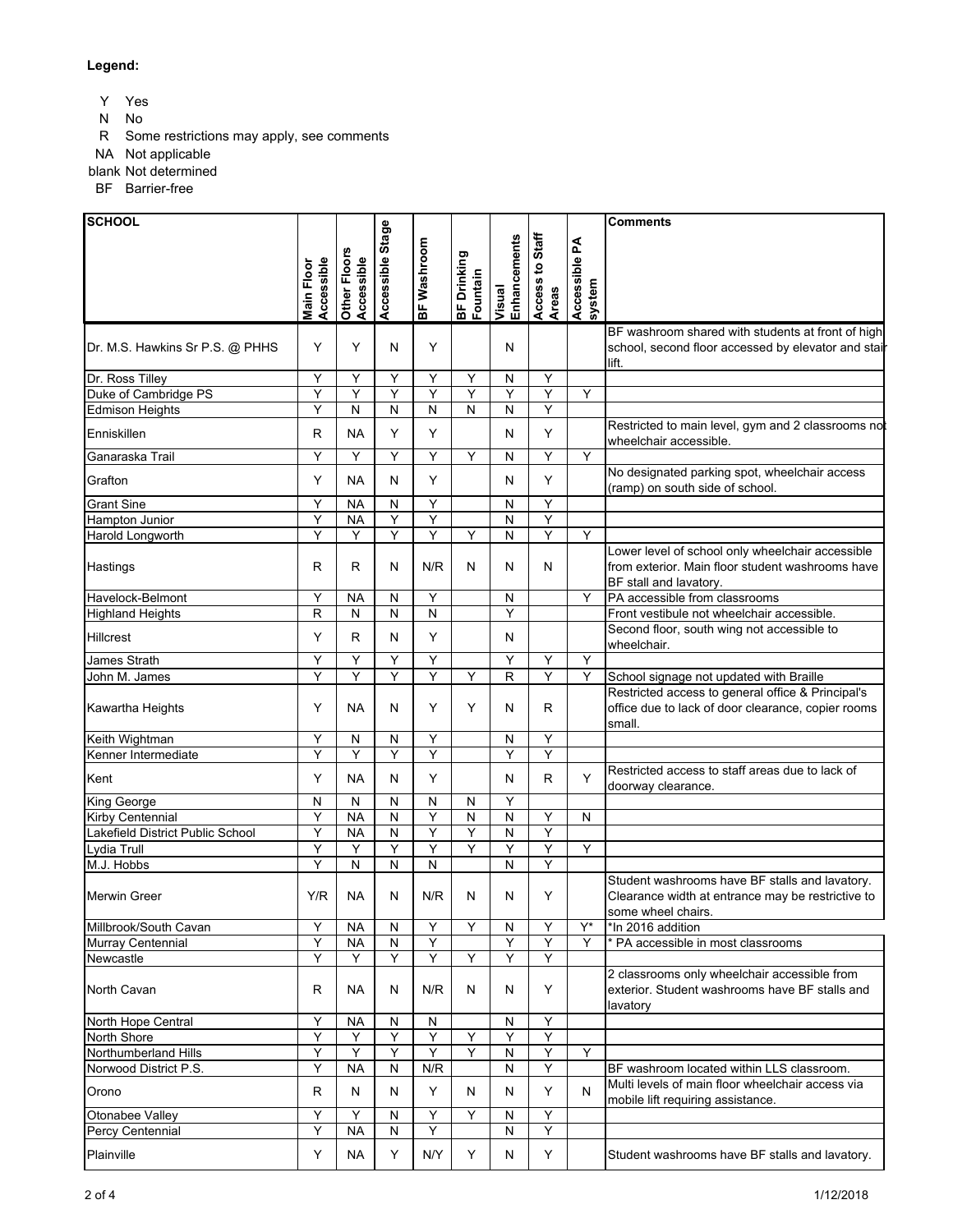### **Legend:**

Y Yes

- N No
- R Some restrictions may apply, see comments

NA Not applicable

blank Not determined

BF Barrier-free

| <b>SCHOOL</b>                    |                         |                            |                  |             |                         |                        |                          |                         | <b>Comments</b>                                                                                                                |
|----------------------------------|-------------------------|----------------------------|------------------|-------------|-------------------------|------------------------|--------------------------|-------------------------|--------------------------------------------------------------------------------------------------------------------------------|
|                                  | Accessible<br>Main Floo | Other Floors<br>Accessible | Accessible Stage | BF Washroom | BF Drinking<br>Fountain | Visual<br>Enhancements | Access to Staff<br>Areas | Accessible PA<br>system |                                                                                                                                |
|                                  |                         |                            |                  |             |                         |                        |                          |                         | BF washroom shared with students at front of high                                                                              |
| Dr. M.S. Hawkins Sr P.S. @ PHHS  | Y                       | Y                          | N                | Y           |                         | N                      |                          |                         | school, second floor accessed by elevator and stail<br>lift.                                                                   |
| Dr. Ross Tilley                  | Υ                       | Υ                          | Υ                | Υ           | Y                       | N                      | Υ                        |                         |                                                                                                                                |
| Duke of Cambridge PS             | Υ                       | Υ                          | Υ                | Υ           | Y                       | Y                      | Υ                        | Y                       |                                                                                                                                |
| <b>Edmison Heights</b>           | Υ                       | N                          | ${\sf N}$        | N           | N                       | N                      | Y                        |                         |                                                                                                                                |
| Enniskillen                      | R                       | <b>NA</b>                  | Υ                | Y           |                         | N                      | Y                        |                         | Restricted to main level, gym and 2 classrooms not<br>wheelchair accessible.                                                   |
| Ganaraska Trail                  | Y                       | Y                          | Y                | Y           | Y                       | N                      | Y                        | Y                       |                                                                                                                                |
| Grafton                          | Y                       | <b>NA</b>                  | N                | Y           |                         | N                      | Y                        |                         | No designated parking spot, wheelchair access<br>(ramp) on south side of school.                                               |
| <b>Grant Sine</b>                | Υ                       | <b>NA</b>                  | ${\sf N}$        | Y           |                         | N                      | Y                        |                         |                                                                                                                                |
| Hampton Junior                   | Υ                       | <b>NA</b>                  | Υ                | Υ           |                         | $\mathsf{N}$           | Υ                        |                         |                                                                                                                                |
| Harold Longworth                 | Y                       | Y                          | Υ                | Y           | Y                       | N                      | Y                        | Y                       |                                                                                                                                |
| Hastings                         | R                       | R                          | N                | N/R         | N                       | N                      | N                        |                         | Lower level of school only wheelchair accessible<br>from exterior. Main floor student washrooms have<br>BF stall and lavatory. |
| Havelock-Belmont                 | Υ                       | <b>NA</b>                  | N                | Y           |                         | N                      |                          | Υ                       | PA accessible from classrooms                                                                                                  |
| <b>Highland Heights</b>          | $\mathsf{R}$            | N                          | ${\sf N}$        | N           |                         | Y                      |                          |                         | Front vestibule not wheelchair accessible.                                                                                     |
| Hillcrest                        | Y                       | R                          | N                | Y           |                         | N                      |                          |                         | Second floor, south wing not accessible to<br>wheelchair.                                                                      |
| James Strath                     | Υ                       | Y                          | Υ                | Υ           |                         | Y                      | Υ                        | Y                       |                                                                                                                                |
| John M. James                    | Y                       | Y                          | Y                | Y           | Y                       | $\mathsf{R}$           | Y                        | Y                       | School signage not updated with Braille                                                                                        |
| Kawartha Heights                 | Υ                       | NА                         | N                | Y           | Y                       | N                      | R                        |                         | Restricted access to general office & Principal's<br>office due to lack of door clearance, copier rooms<br>small.              |
| Keith Wightman                   | Y                       | N                          | ${\sf N}$        | Υ           |                         | N                      | Y                        |                         |                                                                                                                                |
| Kenner Intermediate              | Y                       | Y                          | Y                | Y           |                         | Y                      | Ÿ                        |                         |                                                                                                                                |
| Kent                             | Υ                       | <b>NA</b>                  | N                | Y           |                         | N                      | R                        | Y                       | Restricted access to staff areas due to lack of<br>doorway clearance.                                                          |
| King George                      | N                       | N                          | N                | N           | N                       | Y                      |                          |                         |                                                                                                                                |
| Kirby Centennial                 | Υ                       | <b>NA</b>                  | ${\sf N}$        | Υ           | N                       | $\mathsf{N}$           | Υ                        | N                       |                                                                                                                                |
| Lakefield District Public School | Y                       | <b>NA</b>                  | N                | Υ           | Y                       | N                      | Y                        |                         |                                                                                                                                |
| Lydia Trull                      | Y<br>Y                  | Υ                          | Y                | Y           | Y                       | Y                      | Y<br>Y                   | Y                       |                                                                                                                                |
| M.J. Hobbs<br>Merwin Greer       | Y/R                     | ${\sf N}$<br>NA            | ${\sf N}$<br>N   | N<br>N/R    | N                       | N<br>N                 | Y                        |                         | Student washrooms have BF stalls and lavatory.<br>Clearance width at entrance may be restrictive to<br>some wheel chairs.      |
| Millbrook/South Cavan            | Υ                       | <b>NA</b>                  | ${\sf N}$        | Υ           | Y                       | ${\sf N}$              | Υ                        | $\mathsf{Y}^\star$      | *In 2016 addition                                                                                                              |
| Murray Centennial                | Y                       | <b>NA</b>                  | N                | Y           |                         | Y                      | Y                        | Y                       | * PA accessible in most classrooms                                                                                             |
| Newcastle                        | Y                       | Y                          | Y                | Y           | Υ                       | Y                      | Y                        |                         |                                                                                                                                |
| North Cavan                      | R                       | NA.                        | N                | N/R         | N                       | N                      | Y                        |                         | 2 classrooms only wheelchair accessible from<br>exterior. Student washrooms have BF stalls and<br>lavatory                     |
| North Hope Central               | Y                       | NА                         | N                | N           |                         | N                      | Y                        |                         |                                                                                                                                |
| North Shore                      | Υ                       | Υ                          | Υ                | Υ           | Y                       | Υ                      | Y                        |                         |                                                                                                                                |
| Northumberland Hills             | Y                       | Y                          | Y                | Y           | Y                       | N                      | Y                        | Y                       |                                                                                                                                |
| Norwood District P.S.            | Υ                       | <b>NA</b>                  | ${\sf N}$        | N/R         |                         | N                      | Y                        |                         | BF washroom located within LLS classroom.                                                                                      |
| Orono                            | R                       | N                          | N                | Υ           | N                       | N                      | Y                        | N                       | Multi levels of main floor wheelchair access via<br>mobile lift requiring assistance.                                          |
| Otonabee Valley                  | Υ                       | Y                          | N                | Y           | Y                       | N                      | Y                        |                         |                                                                                                                                |
| Percy Centennial                 | Υ                       | <b>NA</b>                  | N                | Y           |                         | N                      | Y                        |                         |                                                                                                                                |
| Plainville                       | Y                       | <b>NA</b>                  | Υ                | N/Y         | Υ                       | N                      | Y                        |                         | Student washrooms have BF stalls and lavatory.                                                                                 |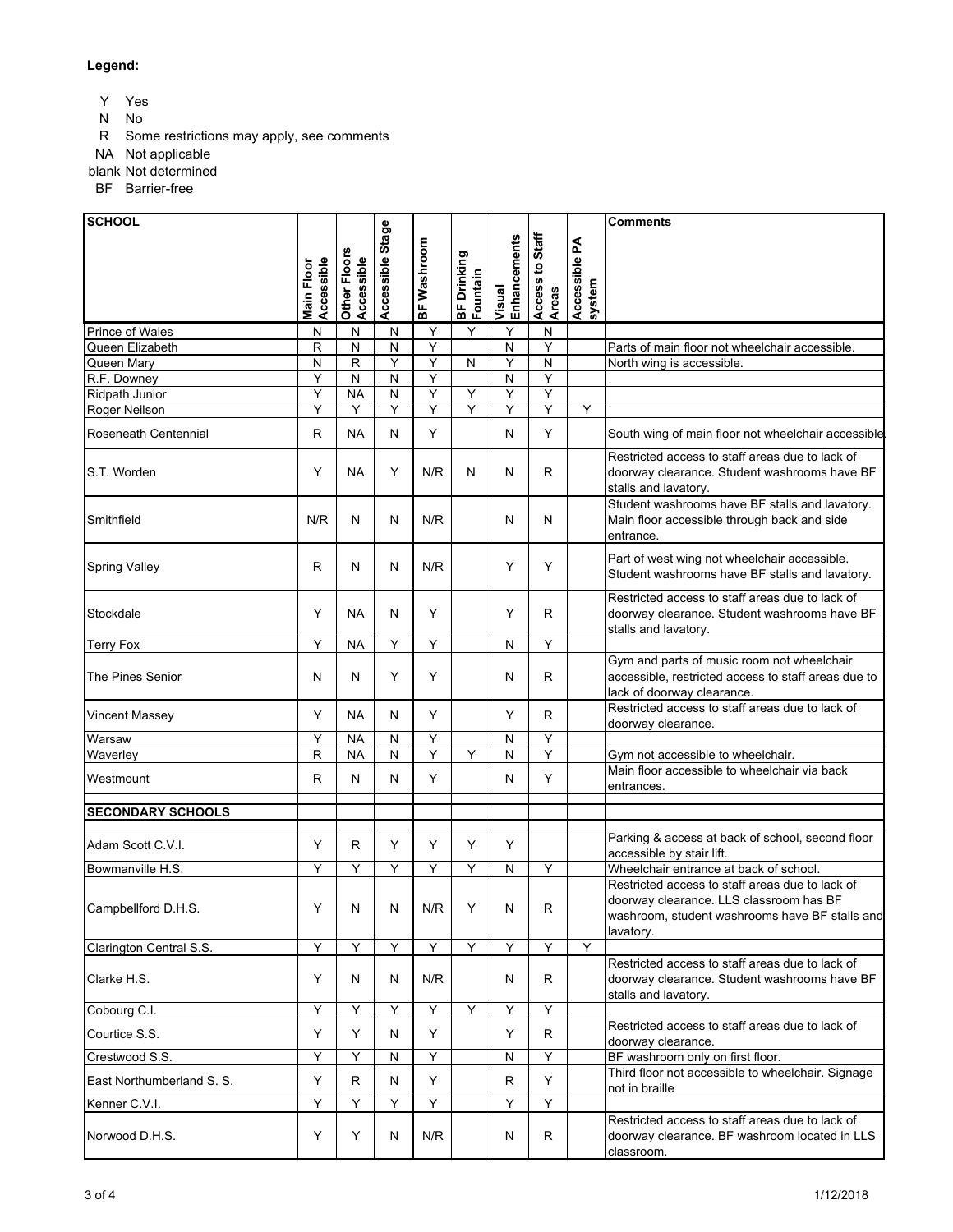#### **Legend:**

Y Yes

- N No
- R Some restrictions may apply, see comments

NA Not applicable

blank Not determined

BF Barrier-free

**SCHOOL Comments** ccessible Stage **Accessible Stage system Access to Staff Enhancements** hets to Staff **Accessible PA**  BF Washroom **Enhancements BF Washroom** Other Floors<br>Accessible **Other Floors**  BF Drinking<br>Fountain **BF Drinking Main Floor**  kccessible **Accessible Accessible Main Floor Fountain Visual Areas** Prince of Wales N N N N N Y Y Y N Queen Elizabeth R N N Y N Y Parts of main floor not wheelchair accessible.<br>Queen Mary N R Y Y N Y N North wing is accessible.  $N$  R Y Y Y N Y N N North wing is accessible. R.F. Downey Y N N Y N Y Ridpath Junior Y NA N YYYY Roger Neilson YYYYYYYYYYY Roseneath Centennial R NA N Y N Y South wing of main floor not wheelchair accessible. Restricted access to staff areas due to lack of S.T. Worden Y | Y | NA | Y | N/R | N | N | R doorway clearance. Student washrooms have BF stalls and lavatory. Student washrooms have BF stalls and lavatory. Main floor accessible through back and side Smithfield | N/R | N | N | N/R | N | N | N entrance. Spring Valley  $R \mid N \mid N \mid N/R$   $\mid \gamma \mid \gamma \mid N$  Part of west wing not wheelchair accessible. Student washrooms have BF stalls and lavatory. Restricted access to staff areas due to lack of Stockdale  $\vert \gamma \vert$  NA  $\vert \gamma \vert$   $\vert \gamma \vert$   $\vert \gamma \vert$  R doorway clearance. Student washrooms have BF stalls and lavatory. Terry Fox | Y | NA | Y | Y | | N | Y Gym and parts of music room not wheelchair The Pines Senior N N Y Y N R accessible, restricted access to staff areas due to lack of doorway clearance. Vincent Massey Y NA N Y Y R Restricted access to staff areas due to lack of doorway clearance. Warsaw | Y | NA | N | Y | N | Y Waverley R NA N Y Y N Y Gym not accessible to wheelchair. Westmount R N N Y N Y N Y Main floor accessible to wheelchair via back entrances. **SECONDARY SCHOOLS** Adam Scott C.V.I.  $\begin{array}{|c|c|c|c|c|c|}\n\hline\n\end{array}$   $\begin{array}{|c|c|c|c|c|c|}\n\hline\n\end{array}$   $\begin{array}{|c|c|c|c|c|c|}\n\hline\n\end{array}$  Parking & access at back of school, second floor accessible by stair lift. Bowmanville H.S. YYYYYYYY WNY Wheelchair entrance at back of school. Restricted access to staff areas due to lack of doorway clearance. LLS classroom has BF Campbellford D.H.S.  $\vert \gamma \vert N \vert N \vert N \vert N \vert \gamma \vert N$ washroom, student washrooms have BF stalls and lavatory. Clarington Central S.S. YYYYYYYY Restricted access to staff areas due to lack of Clarke H.S. Y N N N/R N R doorway clearance. Student washrooms have BF stalls and lavatory. Cobourg C.I. YYYYYYY Courtice S.S. Y Y N Y Y R Restricted access to staff areas due to lack of doorway clearance. Crestwood S.S. Y Y Y N Y N Y N Y BF washroom only on first floor. East Northumberland S. S. Y R N Y R Y Third floor not accessible to wheelchair. Signage not in braille Kenner C.V.I. YYYY YY Restricted access to staff areas due to lack of Norwood D.H.S.  $\vert \gamma \vert \gamma \vert \gamma \vert$  N  $\vert$  N/R  $\vert$  N  $\vert$  R doorway clearance. BF washroom located in LLS classroom.